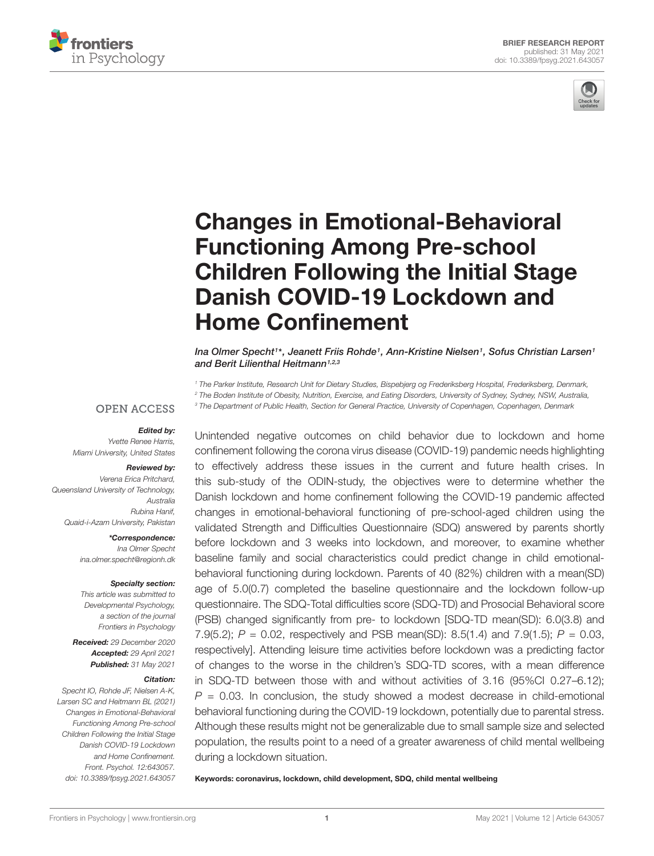



# Changes in Emotional-Behavioral Functioning Among Pre-school [Children Following the Initial Stage](https://www.frontiersin.org/articles/10.3389/fpsyg.2021.643057/full) Danish COVID-19 Lockdown and Home Confinement

Ina Olmer Specht1\*, Jeanett Friis Rohde1, Ann-Kristine Nielsen1, Sofus Christian Larsen1 and Berit Lilienthal Heitmann<sup>1,2,3</sup>

<sup>1</sup> The Parker Institute, Research Unit for Dietary Studies, Bispebjerg og Frederiksberg Hospital, Frederiksberg, Denmark, <sup>2</sup> The Boden Institute of Obesity, Nutrition, Exercise, and Eating Disorders, University of Sydney, Sydney, NSW, Australia, <sup>3</sup> The Department of Public Health, Section for General Practice, University of Copenhagen, Copenhagen, Denmark

## **OPEN ACCESS**

#### Edited by:

Yvette Renee Harris, Miami University, United States

#### Reviewed by:

Verena Erica Pritchard, Queensland University of Technology, Australia Rubina Hanif, Quaid-i-Azam University, Pakistan

> \*Correspondence: Ina Olmer Specht ina.olmer.specht@regionh.dk

#### Specialty section:

This article was submitted to Developmental Psychology, a section of the journal Frontiers in Psychology

Received: 29 December 2020 Accepted: 29 April 2021 Published: 31 May 2021

#### Citation:

Specht IO, Rohde JF, Nielsen A-K, Larsen SC and Heitmann BL (2021) Changes in Emotional-Behavioral Functioning Among Pre-school Children Following the Initial Stage Danish COVID-19 Lockdown and Home Confinement. Front. Psychol. 12:643057. doi: [10.3389/fpsyg.2021.643057](https://doi.org/10.3389/fpsyg.2021.643057) Unintended negative outcomes on child behavior due to lockdown and home confinement following the corona virus disease (COVID-19) pandemic needs highlighting to effectively address these issues in the current and future health crises. In this sub-study of the ODIN-study, the objectives were to determine whether the Danish lockdown and home confinement following the COVID-19 pandemic affected changes in emotional-behavioral functioning of pre-school-aged children using the validated Strength and Difficulties Questionnaire (SDQ) answered by parents shortly before lockdown and 3 weeks into lockdown, and moreover, to examine whether baseline family and social characteristics could predict change in child emotionalbehavioral functioning during lockdown. Parents of 40 (82%) children with a mean(SD) age of 5.0(0.7) completed the baseline questionnaire and the lockdown follow-up questionnaire. The SDQ-Total difficulties score (SDQ-TD) and Prosocial Behavioral score (PSB) changed significantly from pre- to lockdown [SDQ-TD mean(SD): 6.0(3.8) and 7.9(5.2);  $P = 0.02$ , respectively and PSB mean(SD): 8.5(1.4) and 7.9(1.5);  $P = 0.03$ , respectively]. Attending leisure time activities before lockdown was a predicting factor of changes to the worse in the children's SDQ-TD scores, with a mean difference in SDQ-TD between those with and without activities of 3.16 (95%CI 0.27–6.12);  $P = 0.03$ . In conclusion, the study showed a modest decrease in child-emotional behavioral functioning during the COVID-19 lockdown, potentially due to parental stress. Although these results might not be generalizable due to small sample size and selected population, the results point to a need of a greater awareness of child mental wellbeing during a lockdown situation.

Keywords: coronavirus, lockdown, child development, SDQ, child mental wellbeing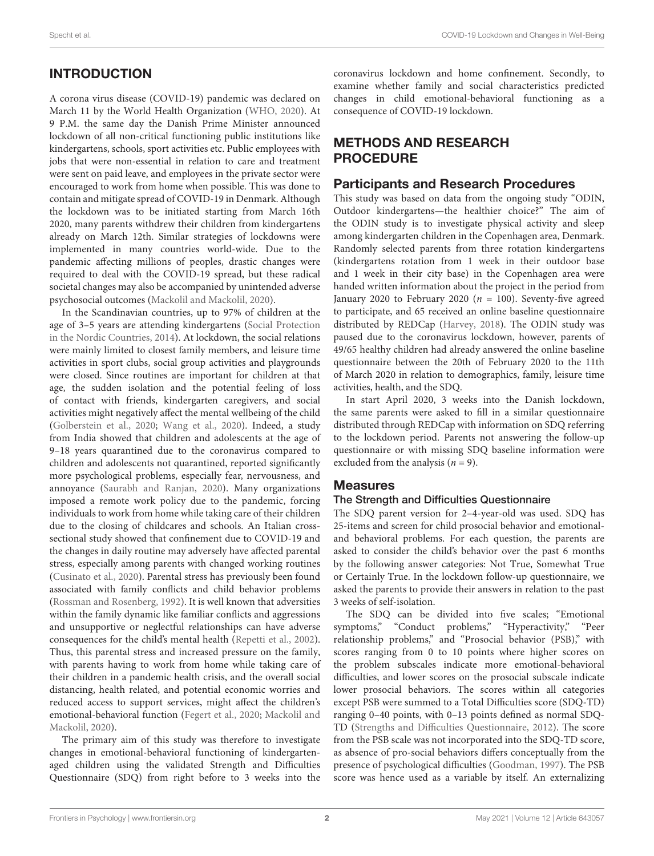# **INTRODUCTION**

A corona virus disease (COVID-19) pandemic was declared on March 11 by the World Health Organization [\(WHO,](#page-5-0) [2020\)](#page-5-0). At 9 P.M. the same day the Danish Prime Minister announced lockdown of all non-critical functioning public institutions like kindergartens, schools, sport activities etc. Public employees with jobs that were non-essential in relation to care and treatment were sent on paid leave, and employees in the private sector were encouraged to work from home when possible. This was done to contain and mitigate spread of COVID-19 in Denmark. Although the lockdown was to be initiated starting from March 16th 2020, many parents withdrew their children from kindergartens already on March 12th. Similar strategies of lockdowns were implemented in many countries world-wide. Due to the pandemic affecting millions of peoples, drastic changes were required to deal with the COVID-19 spread, but these radical societal changes may also be accompanied by unintended adverse psychosocial outcomes [\(Mackolil and Mackolil,](#page-5-1) [2020\)](#page-5-1).

In the Scandinavian countries, up to 97% of children at the age of 3–5 years are attending kindergartens [\(Social Protection](#page-5-2) [in the Nordic Countries,](#page-5-2) [2014\)](#page-5-2). At lockdown, the social relations were mainly limited to closest family members, and leisure time activities in sport clubs, social group activities and playgrounds were closed. Since routines are important for children at that age, the sudden isolation and the potential feeling of loss of contact with friends, kindergarten caregivers, and social activities might negatively affect the mental wellbeing of the child [\(Golberstein et al.,](#page-5-3) [2020;](#page-5-3) [Wang et al.,](#page-5-4) [2020\)](#page-5-4). Indeed, a study from India showed that children and adolescents at the age of 9–18 years quarantined due to the coronavirus compared to children and adolescents not quarantined, reported significantly more psychological problems, especially fear, nervousness, and annoyance [\(Saurabh and Ranjan,](#page-5-5) [2020\)](#page-5-5). Many organizations imposed a remote work policy due to the pandemic, forcing individuals to work from home while taking care of their children due to the closing of childcares and schools. An Italian crosssectional study showed that confinement due to COVID-19 and the changes in daily routine may adversely have affected parental stress, especially among parents with changed working routines [\(Cusinato et al.,](#page-5-6) [2020\)](#page-5-6). Parental stress has previously been found associated with family conflicts and child behavior problems [\(Rossman and Rosenberg,](#page-5-7) [1992\)](#page-5-7). It is well known that adversities within the family dynamic like familiar conflicts and aggressions and unsupportive or neglectful relationships can have adverse consequences for the child's mental health [\(Repetti et al.,](#page-5-8) [2002\)](#page-5-8). Thus, this parental stress and increased pressure on the family, with parents having to work from home while taking care of their children in a pandemic health crisis, and the overall social distancing, health related, and potential economic worries and reduced access to support services, might affect the children's emotional-behavioral function [\(Fegert et al.,](#page-5-9) [2020;](#page-5-9) [Mackolil and](#page-5-1) [Mackolil,](#page-5-1) [2020\)](#page-5-1).

The primary aim of this study was therefore to investigate changes in emotional-behavioral functioning of kindergartenaged children using the validated Strength and Difficulties Questionnaire (SDQ) from right before to 3 weeks into the coronavirus lockdown and home confinement. Secondly, to examine whether family and social characteristics predicted changes in child emotional-behavioral functioning as a consequence of COVID-19 lockdown.

# METHODS AND RESEARCH PROCEDURE

### Participants and Research Procedures

This study was based on data from the ongoing study "ODIN, Outdoor kindergartens—the healthier choice?" The aim of the ODIN study is to investigate physical activity and sleep among kindergarten children in the Copenhagen area, Denmark. Randomly selected parents from three rotation kindergartens (kindergartens rotation from 1 week in their outdoor base and 1 week in their city base) in the Copenhagen area were handed written information about the project in the period from January 2020 to February 2020 ( $n = 100$ ). Seventy-five agreed to participate, and 65 received an online baseline questionnaire distributed by REDCap [\(Harvey,](#page-5-10) [2018\)](#page-5-10). The ODIN study was paused due to the coronavirus lockdown, however, parents of 49/65 healthy children had already answered the online baseline questionnaire between the 20th of February 2020 to the 11th of March 2020 in relation to demographics, family, leisure time activities, health, and the SDQ.

In start April 2020, 3 weeks into the Danish lockdown, the same parents were asked to fill in a similar questionnaire distributed through REDCap with information on SDQ referring to the lockdown period. Parents not answering the follow-up questionnaire or with missing SDQ baseline information were excluded from the analysis ( $n = 9$ ).

## **Measures**

#### The Strength and Difficulties Questionnaire

The SDQ parent version for 2–4-year-old was used. SDQ has 25-items and screen for child prosocial behavior and emotionaland behavioral problems. For each question, the parents are asked to consider the child's behavior over the past 6 months by the following answer categories: Not True, Somewhat True or Certainly True. In the lockdown follow-up questionnaire, we asked the parents to provide their answers in relation to the past 3 weeks of self-isolation.

The SDQ can be divided into five scales; "Emotional symptoms," "Conduct problems," "Hyperactivity," "Peer relationship problems," and "Prosocial behavior (PSB)," with scores ranging from 0 to 10 points where higher scores on the problem subscales indicate more emotional-behavioral difficulties, and lower scores on the prosocial subscale indicate lower prosocial behaviors. The scores within all categories except PSB were summed to a Total Difficulties score (SDQ-TD) ranging 0–40 points, with 0–13 points defined as normal SDQ-TD [\(Strengths and Difficulties Questionnaire,](#page-5-11) [2012\)](#page-5-11). The score from the PSB scale was not incorporated into the SDQ-TD score, as absence of pro-social behaviors differs conceptually from the presence of psychological difficulties [\(Goodman,](#page-5-12) [1997\)](#page-5-12). The PSB score was hence used as a variable by itself. An externalizing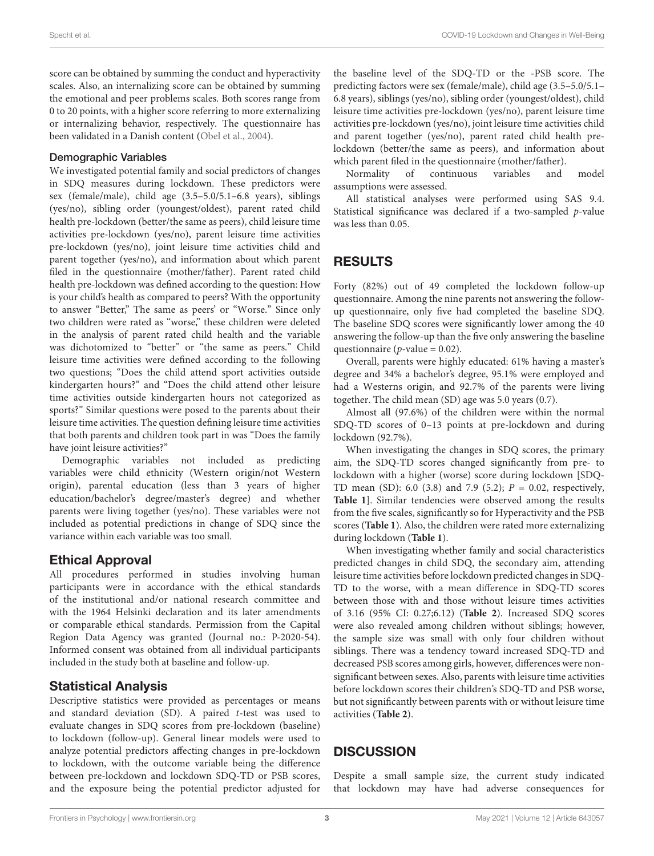score can be obtained by summing the conduct and hyperactivity scales. Also, an internalizing score can be obtained by summing the emotional and peer problems scales. Both scores range from 0 to 20 points, with a higher score referring to more externalizing or internalizing behavior, respectively. The questionnaire has been validated in a Danish content [\(Obel et al.,](#page-5-13) [2004\)](#page-5-13).

#### Demographic Variables

We investigated potential family and social predictors of changes in SDQ measures during lockdown. These predictors were sex (female/male), child age (3.5–5.0/5.1–6.8 years), siblings (yes/no), sibling order (youngest/oldest), parent rated child health pre-lockdown (better/the same as peers), child leisure time activities pre-lockdown (yes/no), parent leisure time activities pre-lockdown (yes/no), joint leisure time activities child and parent together (yes/no), and information about which parent filed in the questionnaire (mother/father). Parent rated child health pre-lockdown was defined according to the question: How is your child's health as compared to peers? With the opportunity to answer "Better," The same as peers' or "Worse." Since only two children were rated as "worse," these children were deleted in the analysis of parent rated child health and the variable was dichotomized to "better" or "the same as peers." Child leisure time activities were defined according to the following two questions; "Does the child attend sport activities outside kindergarten hours?" and "Does the child attend other leisure time activities outside kindergarten hours not categorized as sports?" Similar questions were posed to the parents about their leisure time activities. The question defining leisure time activities that both parents and children took part in was "Does the family have joint leisure activities?"

Demographic variables not included as predicting variables were child ethnicity (Western origin/not Western origin), parental education (less than 3 years of higher education/bachelor's degree/master's degree) and whether parents were living together (yes/no). These variables were not included as potential predictions in change of SDQ since the variance within each variable was too small.

## Ethical Approval

All procedures performed in studies involving human participants were in accordance with the ethical standards of the institutional and/or national research committee and with the 1964 Helsinki declaration and its later amendments or comparable ethical standards. Permission from the Capital Region Data Agency was granted (Journal no.: P-2020-54). Informed consent was obtained from all individual participants included in the study both at baseline and follow-up.

# Statistical Analysis

Descriptive statistics were provided as percentages or means and standard deviation (SD). A paired t-test was used to evaluate changes in SDQ scores from pre-lockdown (baseline) to lockdown (follow-up). General linear models were used to analyze potential predictors affecting changes in pre-lockdown to lockdown, with the outcome variable being the difference between pre-lockdown and lockdown SDQ-TD or PSB scores, and the exposure being the potential predictor adjusted for

the baseline level of the SDQ-TD or the -PSB score. The predicting factors were sex (female/male), child age (3.5–5.0/5.1– 6.8 years), siblings (yes/no), sibling order (youngest/oldest), child leisure time activities pre-lockdown (yes/no), parent leisure time activities pre-lockdown (yes/no), joint leisure time activities child and parent together (yes/no), parent rated child health prelockdown (better/the same as peers), and information about which parent filed in the questionnaire (mother/father).

Normality of continuous variables and model assumptions were assessed.

All statistical analyses were performed using SAS 9.4. Statistical significance was declared if a two-sampled p-value was less than 0.05.

# RESULTS

Forty (82%) out of 49 completed the lockdown follow-up questionnaire. Among the nine parents not answering the followup questionnaire, only five had completed the baseline SDQ. The baseline SDQ scores were significantly lower among the 40 answering the follow-up than the five only answering the baseline questionnaire ( $p$ -value = 0.02).

Overall, parents were highly educated: 61% having a master's degree and 34% a bachelor's degree, 95.1% were employed and had a Westerns origin, and 92.7% of the parents were living together. The child mean (SD) age was 5.0 years (0.7).

Almost all (97.6%) of the children were within the normal SDQ-TD scores of 0–13 points at pre-lockdown and during lockdown (92.7%).

When investigating the changes in SDQ scores, the primary aim, the SDQ-TD scores changed significantly from pre- to lockdown with a higher (worse) score during lockdown [SDQ-TD mean (SD): 6.0 (3.8) and 7.9 (5.2);  $P = 0.02$ , respectively, **[Table 1](#page-3-0)**]. Similar tendencies were observed among the results from the five scales, significantly so for Hyperactivity and the PSB scores (**[Table 1](#page-3-0)**). Also, the children were rated more externalizing during lockdown (**[Table 1](#page-3-0)**).

When investigating whether family and social characteristics predicted changes in child SDQ, the secondary aim, attending leisure time activities before lockdown predicted changes in SDQ-TD to the worse, with a mean difference in SDQ-TD scores between those with and those without leisure times activities of 3.16 (95% CI: 0.27;6.12) (**[Table 2](#page-4-0)**). Increased SDQ scores were also revealed among children without siblings; however, the sample size was small with only four children without siblings. There was a tendency toward increased SDQ-TD and decreased PSB scores among girls, however, differences were nonsignificant between sexes. Also, parents with leisure time activities before lockdown scores their children's SDQ-TD and PSB worse, but not significantly between parents with or without leisure time activities (**[Table 2](#page-4-0)**).

# **DISCUSSION**

Despite a small sample size, the current study indicated that lockdown may have had adverse consequences for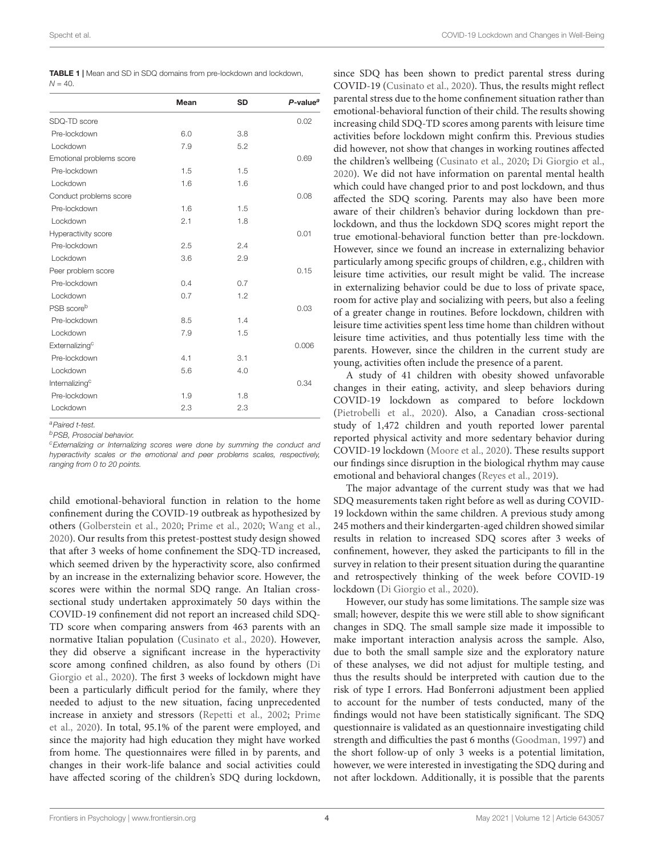<span id="page-3-0"></span>

| <b>TABLE 1</b>   Mean and SD in SDQ domains from pre-lockdown and lockdown, |  |
|-----------------------------------------------------------------------------|--|
| $N = 40.$                                                                   |  |

|                            | Mean | <b>SD</b> | $P$ -value <sup>a</sup> |
|----------------------------|------|-----------|-------------------------|
| SDQ-TD score               |      |           | 0.02                    |
| Pre-lockdown               | 6.0  | 3.8       |                         |
| Lockdown                   | 7.9  | 5.2       |                         |
| Emotional problems score   |      |           | 0.69                    |
| Pre-lockdown               | 1.5  | 1.5       |                         |
| Lockdown                   | 1.6  | 1.6       |                         |
| Conduct problems score     |      |           | 0.08                    |
| Pre-lockdown               | 1.6  | 1.5       |                         |
| Lockdown                   | 2.1  | 1.8       |                         |
| Hyperactivity score        |      |           | 0.01                    |
| Pre-lockdown               | 2.5  | 2.4       |                         |
| Lockdown                   | 3.6  | 2.9       |                         |
| Peer problem score         |      |           | 0.15                    |
| Pre-lockdown               | 0.4  | 0.7       |                         |
| Lockdown                   | 0.7  | 1.2       |                         |
| PSB score <sup>b</sup>     |      |           | 0.03                    |
| Pre-lockdown               | 8.5  | 1.4       |                         |
| Lockdown                   | 7.9  | 1.5       |                         |
| Externalizing <sup>c</sup> |      |           | 0.006                   |
| Pre-lockdown               | 4.1  | 3.1       |                         |
| Lockdown                   | 5.6  | 4.0       |                         |
| Internalizing <sup>c</sup> |      |           | 0.34                    |
| Pre-lockdown               | 1.9  | 1.8       |                         |
| Lockdown                   | 2.3  | 2.3       |                         |

<sup>a</sup>Paired t-test.

<sup>b</sup>PSB, Prosocial behavior.

<sup>c</sup>Externalizing or Internalizing scores were done by summing the conduct and hyperactivity scales or the emotional and peer problems scales, respectively, ranging from 0 to 20 points.

child emotional-behavioral function in relation to the home confinement during the COVID-19 outbreak as hypothesized by others [\(Golberstein et al.,](#page-5-3) [2020;](#page-5-3) [Prime et al.,](#page-5-14) [2020;](#page-5-14) [Wang et al.,](#page-5-4) [2020\)](#page-5-4). Our results from this pretest-posttest study design showed that after 3 weeks of home confinement the SDQ-TD increased, which seemed driven by the hyperactivity score, also confirmed by an increase in the externalizing behavior score. However, the scores were within the normal SDQ range. An Italian crosssectional study undertaken approximately 50 days within the COVID-19 confinement did not report an increased child SDQ-TD score when comparing answers from 463 parents with an normative Italian population [\(Cusinato et al.,](#page-5-6) [2020\)](#page-5-6). However, they did observe a significant increase in the hyperactivity score among confined children, as also found by others [\(Di](#page-5-15) [Giorgio et al.,](#page-5-15) [2020\)](#page-5-15). The first 3 weeks of lockdown might have been a particularly difficult period for the family, where they needed to adjust to the new situation, facing unprecedented increase in anxiety and stressors [\(Repetti et al.,](#page-5-8) [2002;](#page-5-8) [Prime](#page-5-14) [et al.,](#page-5-14) [2020\)](#page-5-14). In total, 95.1% of the parent were employed, and since the majority had high education they might have worked from home. The questionnaires were filled in by parents, and changes in their work-life balance and social activities could have affected scoring of the children's SDQ during lockdown,

since SDQ has been shown to predict parental stress during COVID-19 [\(Cusinato et al.,](#page-5-6) [2020\)](#page-5-6). Thus, the results might reflect parental stress due to the home confinement situation rather than emotional-behavioral function of their child. The results showing increasing child SDQ-TD scores among parents with leisure time activities before lockdown might confirm this. Previous studies did however, not show that changes in working routines affected the children's wellbeing [\(Cusinato et al.,](#page-5-6) [2020;](#page-5-6) [Di Giorgio et al.,](#page-5-15) [2020\)](#page-5-15). We did not have information on parental mental health which could have changed prior to and post lockdown, and thus affected the SDQ scoring. Parents may also have been more aware of their children's behavior during lockdown than prelockdown, and thus the lockdown SDQ scores might report the true emotional-behavioral function better than pre-lockdown. However, since we found an increase in externalizing behavior particularly among specific groups of children, e.g., children with leisure time activities, our result might be valid. The increase in externalizing behavior could be due to loss of private space, room for active play and socializing with peers, but also a feeling of a greater change in routines. Before lockdown, children with leisure time activities spent less time home than children without leisure time activities, and thus potentially less time with the parents. However, since the children in the current study are young, activities often include the presence of a parent.

A study of 41 children with obesity showed unfavorable changes in their eating, activity, and sleep behaviors during COVID-19 lockdown as compared to before lockdown [\(Pietrobelli et al.,](#page-5-16) [2020\)](#page-5-16). Also, a Canadian cross-sectional study of 1,472 children and youth reported lower parental reported physical activity and more sedentary behavior during COVID-19 lockdown [\(Moore et al.,](#page-5-17) [2020\)](#page-5-17). These results support our findings since disruption in the biological rhythm may cause emotional and behavioral changes [\(Reyes et al.,](#page-5-18) [2019\)](#page-5-18).

The major advantage of the current study was that we had SDQ measurements taken right before as well as during COVID-19 lockdown within the same children. A previous study among 245 mothers and their kindergarten-aged children showed similar results in relation to increased SDQ scores after 3 weeks of confinement, however, they asked the participants to fill in the survey in relation to their present situation during the quarantine and retrospectively thinking of the week before COVID-19 lockdown [\(Di Giorgio et al.,](#page-5-15) [2020\)](#page-5-15).

However, our study has some limitations. The sample size was small; however, despite this we were still able to show significant changes in SDQ. The small sample size made it impossible to make important interaction analysis across the sample. Also, due to both the small sample size and the exploratory nature of these analyses, we did not adjust for multiple testing, and thus the results should be interpreted with caution due to the risk of type I errors. Had Bonferroni adjustment been applied to account for the number of tests conducted, many of the findings would not have been statistically significant. The SDQ questionnaire is validated as an questionnaire investigating child strength and difficulties the past 6 months [\(Goodman,](#page-5-12) [1997\)](#page-5-12) and the short follow-up of only 3 weeks is a potential limitation, however, we were interested in investigating the SDQ during and not after lockdown. Additionally, it is possible that the parents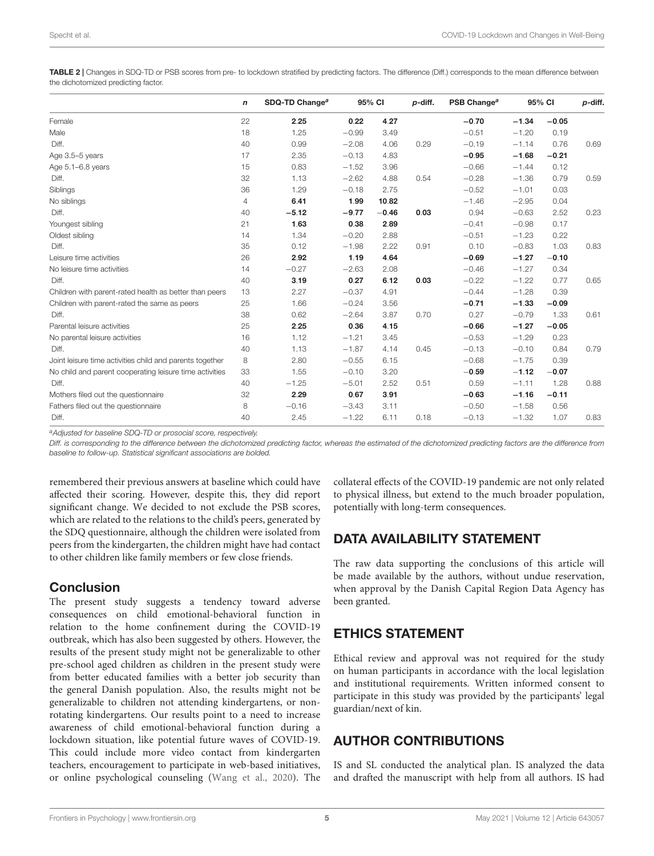<span id="page-4-0"></span>TABLE 2 | Changes in SDQ-TD or PSB scores from pre- to lockdown stratified by predicting factors. The difference (Diff.) corresponds to the mean difference between the dichotomized predicting factor.

|                                                          |    | SDQ-TD Change <sup>a</sup> | 95% CI  |         | p-diff. | PSB Change <sup>a</sup> | 95% CI  |         | p-diff. |
|----------------------------------------------------------|----|----------------------------|---------|---------|---------|-------------------------|---------|---------|---------|
| Female                                                   | 22 | 2.25                       | 0.22    | 4.27    |         | $-0.70$                 | $-1.34$ | $-0.05$ |         |
| Male                                                     | 18 | 1.25                       | $-0.99$ | 3.49    |         | $-0.51$                 | $-1.20$ | 0.19    |         |
| Diff.                                                    | 40 | 0.99                       | $-2.08$ | 4.06    | 0.29    | $-0.19$                 | $-1.14$ | 0.76    | 0.69    |
| Age 3.5-5 years                                          | 17 | 2.35                       | $-0.13$ | 4.83    |         | $-0.95$                 | $-1.68$ | $-0.21$ |         |
| Age 5.1-6.8 years                                        | 15 | 0.83                       | $-1.52$ | 3.96    |         | $-0.66$                 | $-1.44$ | 0.12    |         |
| Diff.                                                    | 32 | 1.13                       | $-2.62$ | 4.88    | 0.54    | $-0.28$                 | $-1.36$ | 0.79    | 0.59    |
| Siblings                                                 | 36 | 1.29                       | $-0.18$ | 2.75    |         | $-0.52$                 | $-1.01$ | 0.03    |         |
| No siblings                                              | 4  | 6.41                       | 1.99    | 10.82   |         | $-1.46$                 | $-2.95$ | 0.04    |         |
| Diff.                                                    | 40 | $-5.12$                    | $-9.77$ | $-0.46$ | 0.03    | 0.94                    | $-0.63$ | 2.52    | 0.23    |
| Youngest sibling                                         | 21 | 1.63                       | 0.38    | 2.89    |         | $-0.41$                 | $-0.98$ | 0.17    |         |
| Oldest sibling                                           | 14 | 1.34                       | $-0.20$ | 2.88    |         | $-0.51$                 | $-1.23$ | 0.22    |         |
| Diff.                                                    | 35 | 0.12                       | $-1.98$ | 2.22    | 0.91    | 0.10                    | $-0.83$ | 1.03    | 0.83    |
| Leisure time activities                                  | 26 | 2.92                       | 1.19    | 4.64    |         | $-0.69$                 | $-1.27$ | $-0.10$ |         |
| No leisure time activities                               | 14 | $-0.27$                    | $-2.63$ | 2.08    |         | $-0.46$                 | $-1.27$ | 0.34    |         |
| Diff.                                                    | 40 | 3.19                       | 0.27    | 6.12    | 0.03    | $-0.22$                 | $-1.22$ | 0.77    | 0.65    |
| Children with parent-rated health as better than peers   | 13 | 2.27                       | $-0.37$ | 4.91    |         | $-0.44$                 | $-1.28$ | 0.39    |         |
| Children with parent-rated the same as peers             | 25 | 1.66                       | $-0.24$ | 3.56    |         | $-0.71$                 | $-1.33$ | $-0.09$ |         |
| Diff.                                                    | 38 | 0.62                       | $-2.64$ | 3.87    | 0.70    | 0.27                    | $-0.79$ | 1.33    | 0.61    |
| Parental leisure activities                              | 25 | 2.25                       | 0.36    | 4.15    |         | $-0.66$                 | $-1.27$ | $-0.05$ |         |
| No parental leisure activities                           | 16 | 1.12                       | $-1.21$ | 3.45    |         | $-0.53$                 | $-1.29$ | 0.23    |         |
| Diff.                                                    | 40 | 1.13                       | $-1.87$ | 4.14    | 0.45    | $-0.13$                 | $-0.10$ | 0.84    | 0.79    |
| Joint leisure time activities child and parents together | 8  | 2.80                       | $-0.55$ | 6.15    |         | $-0.68$                 | $-1.75$ | 0.39    |         |
| No child and parent cooperating leisure time activities  | 33 | 1.55                       | $-0.10$ | 3.20    |         | $-0.59$                 | $-1.12$ | $-0.07$ |         |
| Diff.                                                    | 40 | $-1.25$                    | $-5.01$ | 2.52    | 0.51    | 0.59                    | $-1.11$ | 1.28    | 0.88    |
| Mothers filed out the questionnaire                      | 32 | 2.29                       | 0.67    | 3.91    |         | $-0.63$                 | $-1.16$ | $-0.11$ |         |
| Fathers filed out the questionnaire                      | 8  | $-0.16$                    | $-3.43$ | 3.11    |         | $-0.50$                 | $-1.58$ | 0.56    |         |
| Diff.                                                    | 40 | 2.45                       | $-1.22$ | 6.11    | 0.18    | $-0.13$                 | $-1.32$ | 1.07    | 0.83    |

a Adjusted for baseline SDQ-TD or prosocial score, respectively.

Diff. is corresponding to the difference between the dichotomized predicting factor, whereas the estimated of the dichotomized predicting factors are the difference from baseline to follow-up. Statistical significant associations are bolded.

remembered their previous answers at baseline which could have affected their scoring. However, despite this, they did report significant change. We decided to not exclude the PSB scores, which are related to the relations to the child's peers, generated by the SDQ questionnaire, although the children were isolated from peers from the kindergarten, the children might have had contact to other children like family members or few close friends.

# **Conclusion**

The present study suggests a tendency toward adverse consequences on child emotional-behavioral function in relation to the home confinement during the COVID-19 outbreak, which has also been suggested by others. However, the results of the present study might not be generalizable to other pre-school aged children as children in the present study were from better educated families with a better job security than the general Danish population. Also, the results might not be generalizable to children not attending kindergartens, or nonrotating kindergartens. Our results point to a need to increase awareness of child emotional-behavioral function during a lockdown situation, like potential future waves of COVID-19. This could include more video contact from kindergarten teachers, encouragement to participate in web-based initiatives, or online psychological counseling [\(Wang et al.,](#page-5-4) [2020\)](#page-5-4). The collateral effects of the COVID-19 pandemic are not only related to physical illness, but extend to the much broader population, potentially with long-term consequences.

# DATA AVAILABILITY STATEMENT

The raw data supporting the conclusions of this article will be made available by the authors, without undue reservation, when approval by the Danish Capital Region Data Agency has been granted.

# ETHICS STATEMENT

Ethical review and approval was not required for the study on human participants in accordance with the local legislation and institutional requirements. Written informed consent to participate in this study was provided by the participants' legal guardian/next of kin.

# AUTHOR CONTRIBUTIONS

IS and SL conducted the analytical plan. IS analyzed the data and drafted the manuscript with help from all authors. IS had